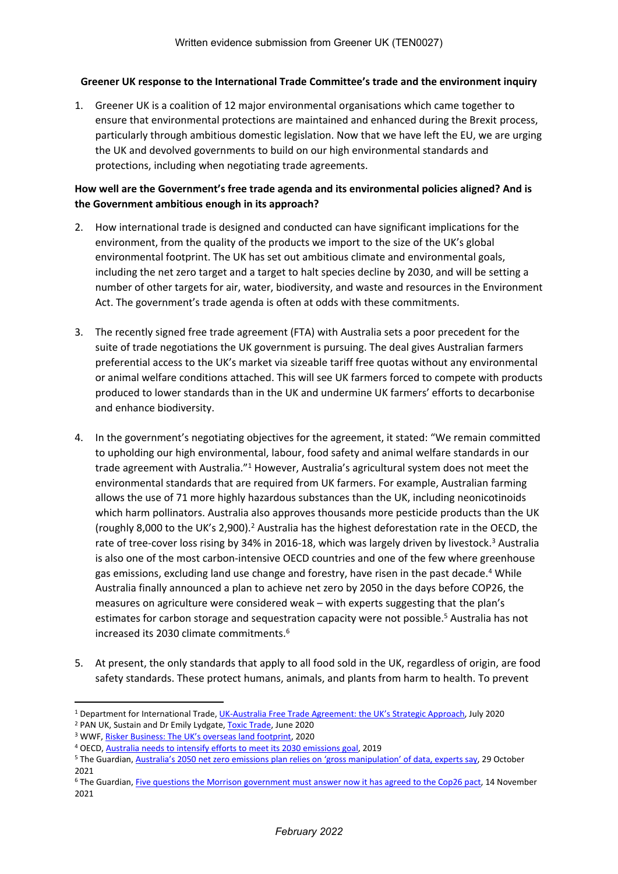#### **Greener UK response to the International Trade Committee's trade and the environment inquiry**

1. Greener UK is a coalition of 12 major environmental organisations which came together to ensure that environmental protections are maintained and enhanced during the Brexit process, particularly through ambitious domestic legislation. Now that we have left the EU, we are urging the UK and devolved governments to build on our high environmental standards and protections, including when negotiating trade agreements.

# **How well are the Government's free trade agenda and its environmental policies aligned? And is the Government ambitious enough in its approach?**

- 2. How international trade is designed and conducted can have significant implications for the environment, from the quality of the products we import to the size of the UK's global environmental footprint. The UK has set out ambitious climate and environmental goals, including the net zero target and a target to halt species decline by 2030, and will be setting a number of other targets for air, water, biodiversity, and waste and resources in the Environment Act. The government's trade agenda is often at odds with these commitments.
- 3. The recently signed free trade agreement (FTA) with Australia sets a poor precedent for the suite of trade negotiations the UK government is pursuing. The deal gives Australian farmers preferential access to the UK's market via sizeable tariff free quotas without any environmental or animal welfare conditions attached. This will see UK farmers forced to compete with products produced to lower standards than in the UK and undermine UK farmers' efforts to decarbonise and enhance biodiversity.
- 4. In the government's negotiating objectives for the agreement, it stated: "We remain committed to upholding our high environmental, labour, food safety and animal welfare standards in our trade agreement with Australia."<sup>1</sup> However, Australia's agricultural system does not meet the environmental standards that are required from UK farmers. For example, Australian farming allows the use of 71 more highly hazardous substances than the UK, including neonicotinoids which harm pollinators. Australia also approves thousands more pesticide products than the UK (roughly 8,000 to the UK's 2,900).<sup>2</sup> Australia has the highest deforestation rate in the OECD, the rate of tree-cover loss rising by 34% in 2016-18, which was largely driven by livestock.<sup>3</sup> Australia is also one of the most carbon-intensive OECD countries and one of the few where greenhouse gas emissions, excluding land use change and forestry, have risen in the past decade.<sup>4</sup> While Australia finally announced a plan to achieve net zero by 2050 in the days before COP26, the measures on agriculture were considered weak – with experts suggesting that the plan's estimates for carbon storage and sequestration capacity were not possible.<sup>5</sup> Australia has not increased its 2030 climate commitments.<sup>6</sup>
- 5. At present, the only standards that apply to all food sold in the UK, regardless of origin, are food safety standards. These protect humans, animals, and plants from harm to health. To prevent

<sup>1</sup> Department for International Trade, [UK-Australia](https://assets.publishing.service.gov.uk/government/uploads/system/uploads/attachment_data/file/901886/uk-strategy-australia-free-trade-agreement.pdf) [Free](https://assets.publishing.service.gov.uk/government/uploads/system/uploads/attachment_data/file/901886/uk-strategy-australia-free-trade-agreement.pdf) [Trade](https://assets.publishing.service.gov.uk/government/uploads/system/uploads/attachment_data/file/901886/uk-strategy-australia-free-trade-agreement.pdf) [Agreement:](https://assets.publishing.service.gov.uk/government/uploads/system/uploads/attachment_data/file/901886/uk-strategy-australia-free-trade-agreement.pdf) [the](https://assets.publishing.service.gov.uk/government/uploads/system/uploads/attachment_data/file/901886/uk-strategy-australia-free-trade-agreement.pdf) [UK's](https://assets.publishing.service.gov.uk/government/uploads/system/uploads/attachment_data/file/901886/uk-strategy-australia-free-trade-agreement.pdf) [Strategic](https://assets.publishing.service.gov.uk/government/uploads/system/uploads/attachment_data/file/901886/uk-strategy-australia-free-trade-agreement.pdf) [Approach,](https://assets.publishing.service.gov.uk/government/uploads/system/uploads/attachment_data/file/901886/uk-strategy-australia-free-trade-agreement.pdf) July 2020

<sup>&</sup>lt;sup>2</sup> PAN UK, Sustain and Dr Emily Lydgate, [Toxic](https://issuu.com/pan-uk/docs/toxic_trade_report_2020?fr=sM2MwNTExOTMxNQ) [Trade](https://issuu.com/pan-uk/docs/toxic_trade_report_2020?fr=sM2MwNTExOTMxNQ), June 2020

<sup>3</sup> WWF, [Risker](https://www.wwf.org.uk/sites/default/files/2020-07/RiskierBusiness_July2020_V7_0.pdf) [Business:](https://www.wwf.org.uk/sites/default/files/2020-07/RiskierBusiness_July2020_V7_0.pdf) [The](https://www.wwf.org.uk/sites/default/files/2020-07/RiskierBusiness_July2020_V7_0.pdf) [UK's](https://www.wwf.org.uk/sites/default/files/2020-07/RiskierBusiness_July2020_V7_0.pdf) [overseas](https://www.wwf.org.uk/sites/default/files/2020-07/RiskierBusiness_July2020_V7_0.pdf) [land](https://www.wwf.org.uk/sites/default/files/2020-07/RiskierBusiness_July2020_V7_0.pdf) [footprint,](https://www.wwf.org.uk/sites/default/files/2020-07/RiskierBusiness_July2020_V7_0.pdf) 2020

<sup>4</sup> OECD, [Australia](https://www.oecd.org/environment/australia-needs-to-intensify-efforts-to-meet-its-2030-emissions-goal.htm) [needs](https://www.oecd.org/environment/australia-needs-to-intensify-efforts-to-meet-its-2030-emissions-goal.htm) [to](https://www.oecd.org/environment/australia-needs-to-intensify-efforts-to-meet-its-2030-emissions-goal.htm) [intensify](https://www.oecd.org/environment/australia-needs-to-intensify-efforts-to-meet-its-2030-emissions-goal.htm) [efforts](https://www.oecd.org/environment/australia-needs-to-intensify-efforts-to-meet-its-2030-emissions-goal.htm) [to](https://www.oecd.org/environment/australia-needs-to-intensify-efforts-to-meet-its-2030-emissions-goal.htm) [meet](https://www.oecd.org/environment/australia-needs-to-intensify-efforts-to-meet-its-2030-emissions-goal.htm) [its](https://www.oecd.org/environment/australia-needs-to-intensify-efforts-to-meet-its-2030-emissions-goal.htm) [2030](https://www.oecd.org/environment/australia-needs-to-intensify-efforts-to-meet-its-2030-emissions-goal.htm) [emissions](https://www.oecd.org/environment/australia-needs-to-intensify-efforts-to-meet-its-2030-emissions-goal.htm) [goal](https://www.oecd.org/environment/australia-needs-to-intensify-efforts-to-meet-its-2030-emissions-goal.htm), 2019

<sup>&</sup>lt;sup>5</sup> The Guardian, [Australia's](https://www.theguardian.com/australia-news/2021/oct/30/australias-2050-net-zero-emissions-plan-relies-on-gross-manipulation-of-data-experts-say) [2050](https://www.theguardian.com/australia-news/2021/oct/30/australias-2050-net-zero-emissions-plan-relies-on-gross-manipulation-of-data-experts-say) [net](https://www.theguardian.com/australia-news/2021/oct/30/australias-2050-net-zero-emissions-plan-relies-on-gross-manipulation-of-data-experts-say) [zero](https://www.theguardian.com/australia-news/2021/oct/30/australias-2050-net-zero-emissions-plan-relies-on-gross-manipulation-of-data-experts-say) [emissions](https://www.theguardian.com/australia-news/2021/oct/30/australias-2050-net-zero-emissions-plan-relies-on-gross-manipulation-of-data-experts-say) [plan](https://www.theguardian.com/australia-news/2021/oct/30/australias-2050-net-zero-emissions-plan-relies-on-gross-manipulation-of-data-experts-say) [relies](https://www.theguardian.com/australia-news/2021/oct/30/australias-2050-net-zero-emissions-plan-relies-on-gross-manipulation-of-data-experts-say) [on](https://www.theguardian.com/australia-news/2021/oct/30/australias-2050-net-zero-emissions-plan-relies-on-gross-manipulation-of-data-experts-say) ['gross](https://www.theguardian.com/australia-news/2021/oct/30/australias-2050-net-zero-emissions-plan-relies-on-gross-manipulation-of-data-experts-say) [manipulation'](https://www.theguardian.com/australia-news/2021/oct/30/australias-2050-net-zero-emissions-plan-relies-on-gross-manipulation-of-data-experts-say) [of](https://www.theguardian.com/australia-news/2021/oct/30/australias-2050-net-zero-emissions-plan-relies-on-gross-manipulation-of-data-experts-say) [data,](https://www.theguardian.com/australia-news/2021/oct/30/australias-2050-net-zero-emissions-plan-relies-on-gross-manipulation-of-data-experts-say) [experts](https://www.theguardian.com/australia-news/2021/oct/30/australias-2050-net-zero-emissions-plan-relies-on-gross-manipulation-of-data-experts-say) [say](https://www.theguardian.com/australia-news/2021/oct/30/australias-2050-net-zero-emissions-plan-relies-on-gross-manipulation-of-data-experts-say), 29 October 2021

<sup>&</sup>lt;sup>6</sup> The Guardian, [Five](https://www.theguardian.com/environment/2021/nov/14/five-questions-the-morrison-government-must-answer-now-it-has-agreed-to-the-cop26-pact) [questions](https://www.theguardian.com/environment/2021/nov/14/five-questions-the-morrison-government-must-answer-now-it-has-agreed-to-the-cop26-pact) [the](https://www.theguardian.com/environment/2021/nov/14/five-questions-the-morrison-government-must-answer-now-it-has-agreed-to-the-cop26-pact) [Morrison](https://www.theguardian.com/environment/2021/nov/14/five-questions-the-morrison-government-must-answer-now-it-has-agreed-to-the-cop26-pact) [government](https://www.theguardian.com/environment/2021/nov/14/five-questions-the-morrison-government-must-answer-now-it-has-agreed-to-the-cop26-pact) [must](https://www.theguardian.com/environment/2021/nov/14/five-questions-the-morrison-government-must-answer-now-it-has-agreed-to-the-cop26-pact) [answer](https://www.theguardian.com/environment/2021/nov/14/five-questions-the-morrison-government-must-answer-now-it-has-agreed-to-the-cop26-pact) [now](https://www.theguardian.com/environment/2021/nov/14/five-questions-the-morrison-government-must-answer-now-it-has-agreed-to-the-cop26-pact) [it](https://www.theguardian.com/environment/2021/nov/14/five-questions-the-morrison-government-must-answer-now-it-has-agreed-to-the-cop26-pact) [has](https://www.theguardian.com/environment/2021/nov/14/five-questions-the-morrison-government-must-answer-now-it-has-agreed-to-the-cop26-pact) [agreed](https://www.theguardian.com/environment/2021/nov/14/five-questions-the-morrison-government-must-answer-now-it-has-agreed-to-the-cop26-pact) [to](https://www.theguardian.com/environment/2021/nov/14/five-questions-the-morrison-government-must-answer-now-it-has-agreed-to-the-cop26-pact) the [Cop26](https://www.theguardian.com/environment/2021/nov/14/five-questions-the-morrison-government-must-answer-now-it-has-agreed-to-the-cop26-pact) [pact](https://www.theguardian.com/environment/2021/nov/14/five-questions-the-morrison-government-must-answer-now-it-has-agreed-to-the-cop26-pact), 14 November 2021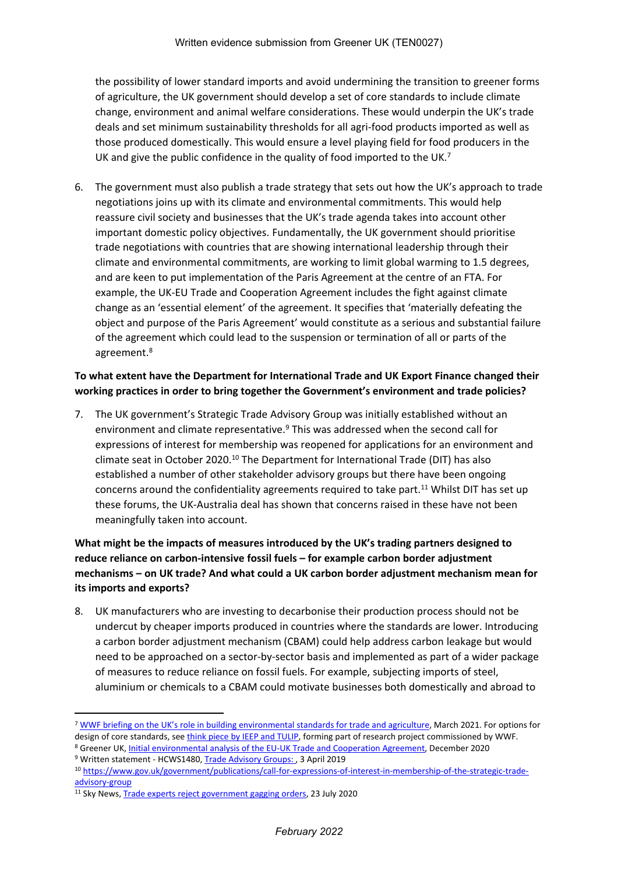the possibility of lower standard imports and avoid undermining the transition to greener forms of agriculture, the UK government should develop a set of core standards to include climate change, environment and animal welfare considerations. These would underpin the UK's trade deals and set minimum sustainability thresholds for all agri-food products imported as well as those produced domestically. This would ensure a level playing field for food producers in the UK and give the public confidence in the quality of food imported to the UK.<sup>7</sup>

6. The government must also publish a trade strategy that sets out how the UK's approach to trade negotiations joins up with its climate and environmental commitments. This would help reassure civil society and businesses that the UK's trade agenda takes into account other important domestic policy objectives. Fundamentally, the UK government should prioritise trade negotiations with countries that are showing international leadership through their climate and environmental commitments, are working to limit global warming to 1.5 degrees, and are keen to put implementation of the Paris Agreement at the centre of an FTA. For example, the UK-EU Trade and Cooperation Agreement includes the fight against climate change as an 'essential element' of the agreement. It specifies that 'materially defeating the object and purpose of the Paris Agreement' would constitute as a serious and substantial failure of the agreement which could lead to the suspension or termination of all or parts of the agreement.<sup>8</sup>

## **To what extent have the Department for International Trade and UK Export Finance changed their working practices in order to bring together the Government's environment and trade policies?**

7. The UK government's Strategic Trade Advisory Group was initially established without an environment and climate representative. $9$  This was addressed when the second call for expressions of interest for membership was reopened for applications for an environment and climate seat in October 2020.<sup>10</sup> The Department for International Trade (DIT) has also established a number of other stakeholder advisory groups but there have been ongoing concerns around the confidentiality agreements required to take part.<sup>11</sup> Whilst DIT has set up these forums, the UK-Australia deal has shown that concerns raised in these have not been meaningfully taken into account.

# **What might be the impacts of measures introduced by the UK's trading partners designed to reduce reliance on carbon-intensive fossil fuels – for example carbon border adjustment mechanisms – on UK trade? And what could a UK carbon border adjustment mechanism mean for its imports and exports?**

8. UK manufacturers who are investing to decarbonise their production process should not be undercut by cheaper imports produced in countries where the standards are lower. Introducing a carbon border adjustment mechanism (CBAM) could help address carbon leakage but would need to be approached on a sector-by-sector basis and implemented as part of a wider package of measures to reduce reliance on fossil fuels. For example, subjecting imports of steel, aluminium or chemicals to a CBAM could motivate businesses both domestically and abroad to

<sup>7</sup> [WWF](https://www.wwf.org.uk/sites/default/files/2021-03/WWF%20Parliamentary%20Briefing_twin%20track%20approach.pdf) [briefing](https://www.wwf.org.uk/sites/default/files/2021-03/WWF%20Parliamentary%20Briefing_twin%20track%20approach.pdf) [on](https://www.wwf.org.uk/sites/default/files/2021-03/WWF%20Parliamentary%20Briefing_twin%20track%20approach.pdf) [the](https://www.wwf.org.uk/sites/default/files/2021-03/WWF%20Parliamentary%20Briefing_twin%20track%20approach.pdf) [UK's](https://www.wwf.org.uk/sites/default/files/2021-03/WWF%20Parliamentary%20Briefing_twin%20track%20approach.pdf) [role](https://www.wwf.org.uk/sites/default/files/2021-03/WWF%20Parliamentary%20Briefing_twin%20track%20approach.pdf) [in](https://www.wwf.org.uk/sites/default/files/2021-03/WWF%20Parliamentary%20Briefing_twin%20track%20approach.pdf) [building](https://www.wwf.org.uk/sites/default/files/2021-03/WWF%20Parliamentary%20Briefing_twin%20track%20approach.pdf) [environmental](https://www.wwf.org.uk/sites/default/files/2021-03/WWF%20Parliamentary%20Briefing_twin%20track%20approach.pdf) [standards](https://www.wwf.org.uk/sites/default/files/2021-03/WWF%20Parliamentary%20Briefing_twin%20track%20approach.pdf) [for](https://www.wwf.org.uk/sites/default/files/2021-03/WWF%20Parliamentary%20Briefing_twin%20track%20approach.pdf) [trade](https://www.wwf.org.uk/sites/default/files/2021-03/WWF%20Parliamentary%20Briefing_twin%20track%20approach.pdf) [and](https://www.wwf.org.uk/sites/default/files/2021-03/WWF%20Parliamentary%20Briefing_twin%20track%20approach.pdf) [agriculture,](https://www.wwf.org.uk/sites/default/files/2021-03/WWF%20Parliamentary%20Briefing_twin%20track%20approach.pdf) March 2021. For options for design of core standards, see [think](https://www.wwf.org.uk/sites/default/files/2022-01/Designing_Environmental_Regulation_Agricultural_Imports.pdf) [piece](https://www.wwf.org.uk/sites/default/files/2022-01/Designing_Environmental_Regulation_Agricultural_Imports.pdf) [by](https://www.wwf.org.uk/sites/default/files/2022-01/Designing_Environmental_Regulation_Agricultural_Imports.pdf) [IEEP](https://www.wwf.org.uk/sites/default/files/2022-01/Designing_Environmental_Regulation_Agricultural_Imports.pdf) [and](https://www.wwf.org.uk/sites/default/files/2022-01/Designing_Environmental_Regulation_Agricultural_Imports.pdf) [TULIP,](https://www.wwf.org.uk/sites/default/files/2022-01/Designing_Environmental_Regulation_Agricultural_Imports.pdf) forming part of research project commissioned by WWF.

<sup>8</sup> Greener UK, [Initial](https://greeneruk.org/sites/default/files/download/2020-12/GreenerUK_initial_analysis_of_the_EU-UK_deal.pdf) [environmental](https://greeneruk.org/sites/default/files/download/2020-12/GreenerUK_initial_analysis_of_the_EU-UK_deal.pdf) [analysis](https://greeneruk.org/sites/default/files/download/2020-12/GreenerUK_initial_analysis_of_the_EU-UK_deal.pdf) [of](https://greeneruk.org/sites/default/files/download/2020-12/GreenerUK_initial_analysis_of_the_EU-UK_deal.pdf) [the](https://greeneruk.org/sites/default/files/download/2020-12/GreenerUK_initial_analysis_of_the_EU-UK_deal.pdf) [EU-UK](https://greeneruk.org/sites/default/files/download/2020-12/GreenerUK_initial_analysis_of_the_EU-UK_deal.pdf) [Trade](https://greeneruk.org/sites/default/files/download/2020-12/GreenerUK_initial_analysis_of_the_EU-UK_deal.pdf) [and](https://greeneruk.org/sites/default/files/download/2020-12/GreenerUK_initial_analysis_of_the_EU-UK_deal.pdf) [Cooperation](https://greeneruk.org/sites/default/files/download/2020-12/GreenerUK_initial_analysis_of_the_EU-UK_deal.pdf) [Agreement](https://greeneruk.org/sites/default/files/download/2020-12/GreenerUK_initial_analysis_of_the_EU-UK_deal.pdf), December 2020 9 Written statement - HCWS1480, [Trade](https://questions-statements.parliament.uk/written-statements/detail/2019-04-03/HCWS1480) [Advisory](https://questions-statements.parliament.uk/written-statements/detail/2019-04-03/HCWS1480) [Groups:](https://questions-statements.parliament.uk/written-statements/detail/2019-04-03/HCWS1480) [,](https://questions-statements.parliament.uk/written-statements/detail/2019-04-03/HCWS1480) 3 April 2019

<sup>10</sup> [https://www.gov.uk/government/publications/call-for-expressions-of-interest-in-membership-of-the-strategic-trade](https://www.gov.uk/government/publications/call-for-expressions-of-interest-in-membership-of-the-strategic-trade-advisory-group)[advisory-group](https://www.gov.uk/government/publications/call-for-expressions-of-interest-in-membership-of-the-strategic-trade-advisory-group)

<sup>&</sup>lt;sup>11</sup> Sky News, [Trade](https://news.sky.com/story/trade-experts-reject-government-gagging-orders-12034425) [experts](https://news.sky.com/story/trade-experts-reject-government-gagging-orders-12034425) [reject](https://news.sky.com/story/trade-experts-reject-government-gagging-orders-12034425) [government](https://news.sky.com/story/trade-experts-reject-government-gagging-orders-12034425) [gagging](https://news.sky.com/story/trade-experts-reject-government-gagging-orders-12034425) [orders](https://news.sky.com/story/trade-experts-reject-government-gagging-orders-12034425), 23 July 2020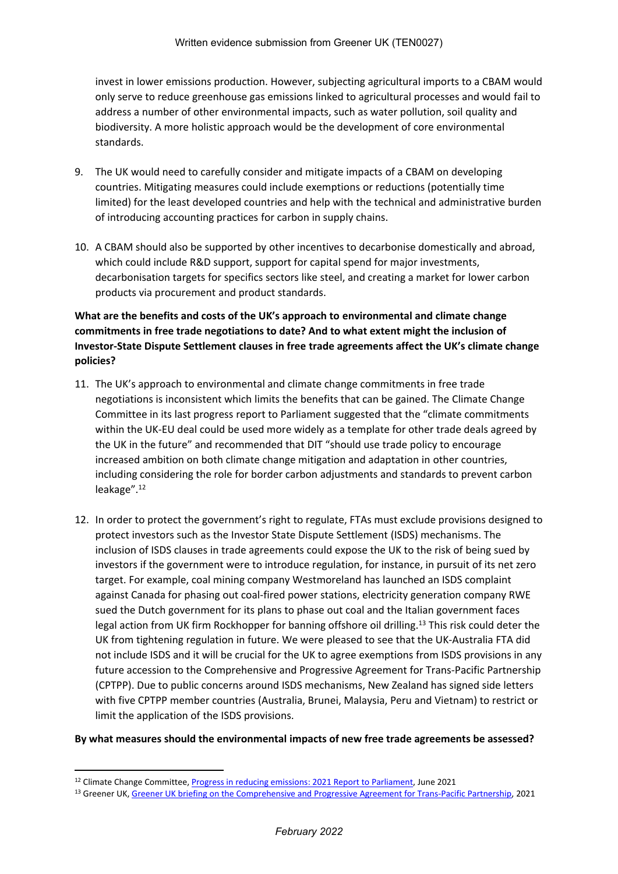invest in lower emissions production. However, subjecting agricultural imports to a CBAM would only serve to reduce greenhouse gas emissions linked to agricultural processes and would fail to address a number of other environmental impacts, such as water pollution, soil quality and biodiversity. A more holistic approach would be the development of core environmental standards.

- 9. The UK would need to carefully consider and mitigate impacts of a CBAM on developing countries. Mitigating measures could include exemptions or reductions (potentially time limited) for the least developed countries and help with the technical and administrative burden of introducing accounting practices for carbon in supply chains.
- 10. A CBAM should also be supported by other incentives to decarbonise domestically and abroad, which could include R&D support, support for capital spend for major investments, decarbonisation targets for specifics sectors like steel, and creating a market for lower carbon products via procurement and product standards.

# **What are the benefits and costs of the UK's approach to environmental and climate change commitments in free trade negotiations to date? And to what extent might the inclusion of Investor-State Dispute Settlement clauses in free trade agreements affect the UK's climate change policies?**

- 11. The UK's approach to environmental and climate change commitments in free trade negotiations is inconsistent which limits the benefits that can be gained. The Climate Change Committee in its last progress report to Parliament suggested that the "climate commitments within the UK-EU deal could be used more widely as a template for other trade deals agreed by the UK in the future" and recommended that DIT "should use trade policy to encourage increased ambition on both climate change mitigation and adaptation in other countries, including considering the role for border carbon adjustments and standards to prevent carbon leakage".<sup>12</sup>
- 12. In order to protect the government's right to regulate, FTAs must exclude provisions designed to protect investors such as the Investor State Dispute Settlement (ISDS) mechanisms. The inclusion of ISDS clauses in trade agreements could expose the UK to the risk of being sued by investors if the government were to introduce regulation, for instance, in pursuit of its net zero target. For example, coal mining company Westmoreland has launched an ISDS complaint against Canada for phasing out coal-fired power stations, electricity generation company RWE sued the Dutch government for its plans to phase out coal and the Italian government faces legal action from UK firm Rockhopper for banning offshore oil drilling.<sup>13</sup> This risk could deter the UK from tightening regulation in future. We were pleased to see that the UK-Australia FTA did not include ISDS and it will be crucial for the UK to agree exemptions from ISDS provisions in any future accession to the Comprehensive and Progressive Agreement for Trans-Pacific Partnership (CPTPP). Due to public concerns around ISDS mechanisms, New Zealand has signed side letters with five CPTPP member countries (Australia, Brunei, Malaysia, Peru and Vietnam) to restrict or limit the application of the ISDS provisions.

#### **By what measures should the environmental impacts of new free trade agreements be assessed?**

<sup>&</sup>lt;sup>12</sup> Climate Change Committee, *[Progress](https://www.theccc.org.uk/wp-content/uploads/2021/06/Progress-in-reducing-emissions-2021-Report-to-Parliament.pdf) [in](https://www.theccc.org.uk/wp-content/uploads/2021/06/Progress-in-reducing-emissions-2021-Report-to-Parliament.pdf) [reducing](https://www.theccc.org.uk/wp-content/uploads/2021/06/Progress-in-reducing-emissions-2021-Report-to-Parliament.pdf) [emissions:](https://www.theccc.org.uk/wp-content/uploads/2021/06/Progress-in-reducing-emissions-2021-Report-to-Parliament.pdf) [2021](https://www.theccc.org.uk/wp-content/uploads/2021/06/Progress-in-reducing-emissions-2021-Report-to-Parliament.pdf) [Report](https://www.theccc.org.uk/wp-content/uploads/2021/06/Progress-in-reducing-emissions-2021-Report-to-Parliament.pdf) [to](https://www.theccc.org.uk/wp-content/uploads/2021/06/Progress-in-reducing-emissions-2021-Report-to-Parliament.pdf) [Parliament](https://www.theccc.org.uk/wp-content/uploads/2021/06/Progress-in-reducing-emissions-2021-Report-to-Parliament.pdf)*, June 2021

<sup>13</sup> [Greener](https://greeneruk.org/sites/default/files/download/2021-08/Greener_UK_briefing_on_the_CPTPP.pdf) [UK](https://greeneruk.org/sites/default/files/download/2021-08/Greener_UK_briefing_on_the_CPTPP.pdf), Greener UK [briefing](https://greeneruk.org/sites/default/files/download/2021-08/Greener_UK_briefing_on_the_CPTPP.pdf) [on](https://greeneruk.org/sites/default/files/download/2021-08/Greener_UK_briefing_on_the_CPTPP.pdf) [the](https://greeneruk.org/sites/default/files/download/2021-08/Greener_UK_briefing_on_the_CPTPP.pdf) [Comprehensive](https://greeneruk.org/sites/default/files/download/2021-08/Greener_UK_briefing_on_the_CPTPP.pdf) [and](https://greeneruk.org/sites/default/files/download/2021-08/Greener_UK_briefing_on_the_CPTPP.pdf) [Progressive](https://greeneruk.org/sites/default/files/download/2021-08/Greener_UK_briefing_on_the_CPTPP.pdf) [Agreement](https://greeneruk.org/sites/default/files/download/2021-08/Greener_UK_briefing_on_the_CPTPP.pdf) [for](https://greeneruk.org/sites/default/files/download/2021-08/Greener_UK_briefing_on_the_CPTPP.pdf) [Trans-Pacific](https://greeneruk.org/sites/default/files/download/2021-08/Greener_UK_briefing_on_the_CPTPP.pdf) [Partnership,](https://greeneruk.org/sites/default/files/download/2021-08/Greener_UK_briefing_on_the_CPTPP.pdf) 2021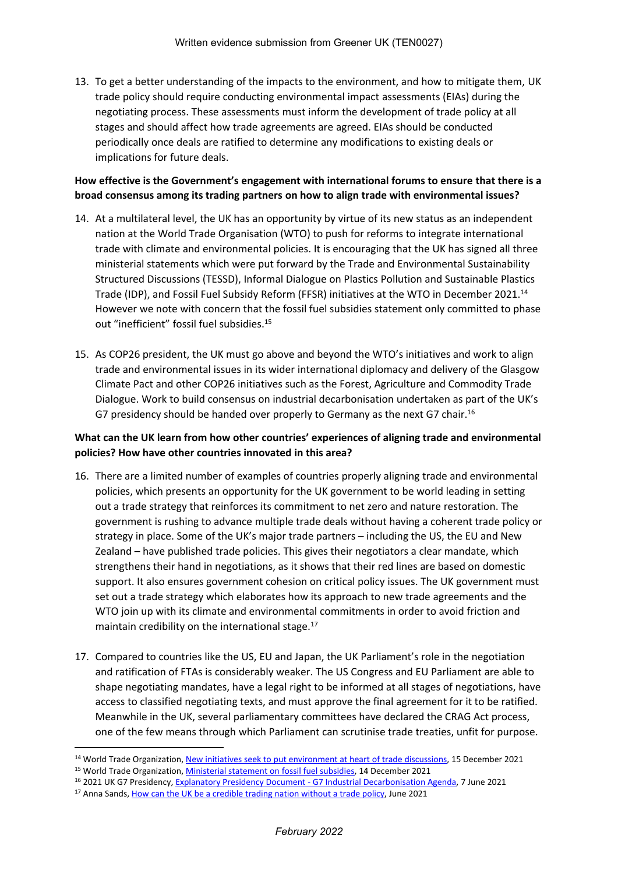13. To get a better understanding of the impacts to the environment, and how to mitigate them, UK trade policy should require conducting environmental impact assessments (EIAs) during the negotiating process. These assessments must inform the development of trade policy at all stages and should affect how trade agreements are agreed. EIAs should be conducted periodically once deals are ratified to determine any modifications to existing deals or implications for future deals.

### **How effective is the Government's engagement with international forums to ensure that there is a broad consensus among its trading partners on how to align trade with environmental issues?**

- 14. At a multilateral level, the UK has an opportunity by virtue of its new status as an independent nation at the World Trade Organisation (WTO) to push for reforms to integrate international trade with climate and environmental policies. It is encouraging that the UK has signed all three ministerial statements which were put forward by the Trade and Environmental Sustainability Structured Discussions (TESSD), Informal Dialogue on Plastics Pollution and Sustainable Plastics Trade (IDP), and Fossil Fuel Subsidy Reform (FFSR) initiatives at the WTO in December 2021.<sup>14</sup> However we note with concern that the fossil fuel subsidies statement only committed to phase out "inefficient" fossil fuel subsidies.<sup>15</sup>
- 15. As COP26 president, the UK must go above and beyond the WTO's initiatives and work to align trade and environmental issues in its wider international diplomacy and delivery of the Glasgow Climate Pact and other COP26 initiatives such as the Forest, Agriculture and Commodity Trade Dialogue. Work to build consensus on industrial decarbonisation undertaken as part of the UK's G7 presidency should be handed over properly to Germany as the next G7 chair.<sup>16</sup>

# **What can the UK learn from how other countries' experiences of aligning trade and environmental policies? How have other countries innovated in this area?**

- 16. There are a limited number of examples of countries properly aligning trade and environmental policies, which presents an opportunity for the UK government to be world leading in setting out a trade strategy that reinforces its commitment to net zero and nature restoration. The government is rushing to advance multiple trade deals without having a coherent trade policy or strategy in place. Some of the UK's major trade partners – including the US, the EU and New Zealand – have published trade policies. This gives their negotiators a clear mandate, which strengthens their hand in negotiations, as it shows that their red lines are based on domestic support. It also ensures government cohesion on critical policy issues. The UK government must set out a trade strategy which elaborates how its approach to new trade agreements and the WTO join up with its climate and environmental commitments in order to avoid friction and maintain credibility on the international stage.<sup>17</sup>
- 17. Compared to countries like the US, EU and Japan, the UK Parliament's role in the negotiation and ratification of FTAs is considerably weaker. The US Congress and EU Parliament are able to shape negotiating mandates, have a legal right to be informed at all stages of negotiations, have access to classified negotiating texts, and must approve the final agreement for it to be ratified. Meanwhile in the UK, several parliamentary committees have declared the CRAG Act process, one of the few means through which Parliament can scrutinise trade treaties, unfit for purpose.

<sup>&</sup>lt;sup>14</sup> World Trade Organization, [New](https://www.wto.org/english/news_e/news21_e/envir_15dec21_e.htm) [initiatives](https://www.wto.org/english/news_e/news21_e/envir_15dec21_e.htm) [seek](https://www.wto.org/english/news_e/news21_e/envir_15dec21_e.htm) [to](https://www.wto.org/english/news_e/news21_e/envir_15dec21_e.htm) [put](https://www.wto.org/english/news_e/news21_e/envir_15dec21_e.htm) [environment](https://www.wto.org/english/news_e/news21_e/envir_15dec21_e.htm) [at](https://www.wto.org/english/news_e/news21_e/envir_15dec21_e.htm) [heart](https://www.wto.org/english/news_e/news21_e/envir_15dec21_e.htm) [of](https://www.wto.org/english/news_e/news21_e/envir_15dec21_e.htm) [trade](https://www.wto.org/english/news_e/news21_e/envir_15dec21_e.htm) [discussions,](https://www.wto.org/english/news_e/news21_e/envir_15dec21_e.htm) 15 December 2021

<sup>15</sup> World Trade Organization, [Ministerial](https://docs.wto.org/dol2fe/Pages/SS/directdoc.aspx?filename=q:/WT/MIN21/9R1.pdf&Open=True) [statement](https://docs.wto.org/dol2fe/Pages/SS/directdoc.aspx?filename=q:/WT/MIN21/9R1.pdf&Open=True) [on](https://docs.wto.org/dol2fe/Pages/SS/directdoc.aspx?filename=q:/WT/MIN21/9R1.pdf&Open=True) [fossil](https://docs.wto.org/dol2fe/Pages/SS/directdoc.aspx?filename=q:/WT/MIN21/9R1.pdf&Open=True) [fuel](https://docs.wto.org/dol2fe/Pages/SS/directdoc.aspx?filename=q:/WT/MIN21/9R1.pdf&Open=True) [subsidies,](https://docs.wto.org/dol2fe/Pages/SS/directdoc.aspx?filename=q:/WT/MIN21/9R1.pdf&Open=True) 14 December 2021

<sup>&</sup>lt;sup>16</sup> 2021 UK G7 Presidency, [Explanatory](https://assets.publishing.service.gov.uk/government/uploads/system/uploads/attachment_data/file/996388/EPD3_G7_Industrial_Decarbonisation_Agenda.pdf) [Presidency](https://assets.publishing.service.gov.uk/government/uploads/system/uploads/attachment_data/file/996388/EPD3_G7_Industrial_Decarbonisation_Agenda.pdf) [Document](https://assets.publishing.service.gov.uk/government/uploads/system/uploads/attachment_data/file/996388/EPD3_G7_Industrial_Decarbonisation_Agenda.pdf) [-](https://assets.publishing.service.gov.uk/government/uploads/system/uploads/attachment_data/file/996388/EPD3_G7_Industrial_Decarbonisation_Agenda.pdf) [G7](https://assets.publishing.service.gov.uk/government/uploads/system/uploads/attachment_data/file/996388/EPD3_G7_Industrial_Decarbonisation_Agenda.pdf) [Industrial](https://assets.publishing.service.gov.uk/government/uploads/system/uploads/attachment_data/file/996388/EPD3_G7_Industrial_Decarbonisation_Agenda.pdf) [Decarbonisation](https://assets.publishing.service.gov.uk/government/uploads/system/uploads/attachment_data/file/996388/EPD3_G7_Industrial_Decarbonisation_Agenda.pdf) [Agenda,](https://assets.publishing.service.gov.uk/government/uploads/system/uploads/attachment_data/file/996388/EPD3_G7_Industrial_Decarbonisation_Agenda.pdf) 7 June 2021

<sup>&</sup>lt;sup>17</sup> Anna Sands, [How](https://greenallianceblog.org.uk/2021/06/10/how-can-the-uk-be-a-credible-trading-nation-without-a-trade-policy/) [can](https://greenallianceblog.org.uk/2021/06/10/how-can-the-uk-be-a-credible-trading-nation-without-a-trade-policy/) [the](https://greenallianceblog.org.uk/2021/06/10/how-can-the-uk-be-a-credible-trading-nation-without-a-trade-policy/) [UK](https://greenallianceblog.org.uk/2021/06/10/how-can-the-uk-be-a-credible-trading-nation-without-a-trade-policy/) [be](https://greenallianceblog.org.uk/2021/06/10/how-can-the-uk-be-a-credible-trading-nation-without-a-trade-policy/) [a](https://greenallianceblog.org.uk/2021/06/10/how-can-the-uk-be-a-credible-trading-nation-without-a-trade-policy/) [credible](https://greenallianceblog.org.uk/2021/06/10/how-can-the-uk-be-a-credible-trading-nation-without-a-trade-policy/) [trading](https://greenallianceblog.org.uk/2021/06/10/how-can-the-uk-be-a-credible-trading-nation-without-a-trade-policy/) [nation](https://greenallianceblog.org.uk/2021/06/10/how-can-the-uk-be-a-credible-trading-nation-without-a-trade-policy/) [without](https://greenallianceblog.org.uk/2021/06/10/how-can-the-uk-be-a-credible-trading-nation-without-a-trade-policy/) a [trade](https://greenallianceblog.org.uk/2021/06/10/how-can-the-uk-be-a-credible-trading-nation-without-a-trade-policy/) [policy,](https://greenallianceblog.org.uk/2021/06/10/how-can-the-uk-be-a-credible-trading-nation-without-a-trade-policy/) June 2021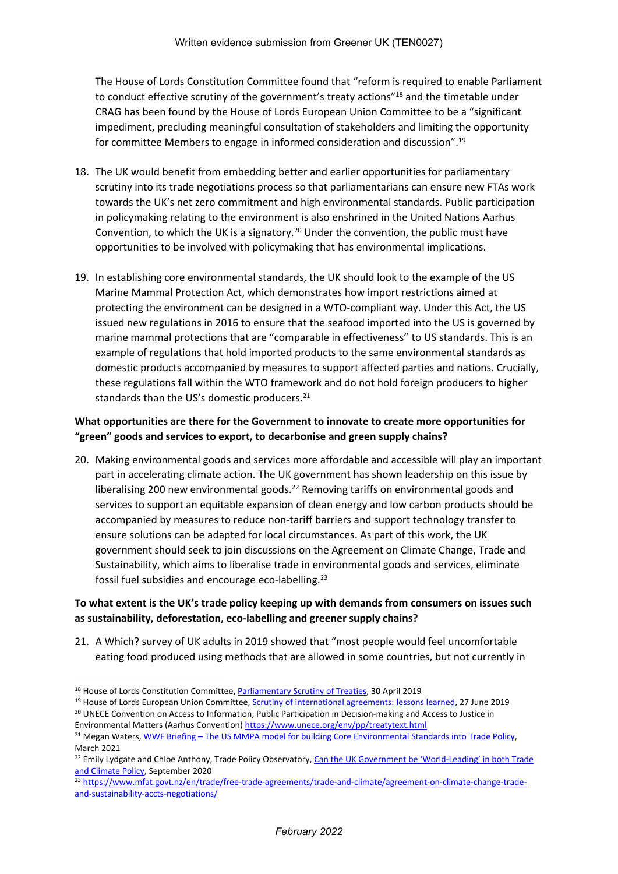The House of Lords Constitution Committee found that "reform is required to enable Parliament to conduct effective scrutiny of the government's treaty actions"<sup>18</sup> and the timetable under CRAG has been found by the House of Lords European Union Committee to be a "significant impediment, precluding meaningful consultation of stakeholders and limiting the opportunity for committee Members to engage in informed consideration and discussion".<sup>19</sup>

- 18. The UK would benefit from embedding better and earlier opportunities for parliamentary scrutiny into its trade negotiations process so that parliamentarians can ensure new FTAs work towards the UK's net zero commitment and high environmental standards. Public participation in policymaking relating to the environment is also enshrined in the United Nations Aarhus Convention, to which the UK is a signatory.<sup>20</sup> Under the convention, the public must have opportunities to be involved with policymaking that has environmental implications.
- 19. In establishing core environmental standards, the UK should look to the example of the US Marine Mammal Protection Act, which demonstrates how import restrictions aimed at protecting the environment can be designed in a WTO-compliant way. Under this Act, the US issued new regulations in 2016 to ensure that the seafood imported into the US is governed by marine mammal protections that are "comparable in effectiveness" to US standards. This is an example of regulations that hold imported products to the same environmental standards as domestic products accompanied by measures to support affected parties and nations. Crucially, these regulations fall within the WTO framework and do not hold foreign producers to higher standards than the US's domestic producers.<sup>21</sup>

# **What opportunities are there for the Government to innovate to create more opportunities for "green" goods and services to export, to decarbonise and green supply chains?**

20. Making environmental goods and services more affordable and accessible will play an important part in accelerating climate action. The UK government has shown leadership on this issue by liberalising 200 new environmental goods.<sup>22</sup> Removing tariffs on environmental goods and services to support an equitable expansion of clean energy and low carbon products should be accompanied by measures to reduce non-tariff barriers and support technology transfer to ensure solutions can be adapted for local circumstances. As part of this work, the UK government should seek to join discussions on the Agreement on Climate Change, Trade and Sustainability, which aims to liberalise trade in environmental goods and services, eliminate fossil fuel subsidies and encourage eco-labelling.<sup>23</sup>

### **To what extent is the UK's trade policy keeping up with demands from consumers on issues such as sustainability, deforestation, eco-labelling and greener supply chains?**

21. A Which? survey of UK adults in 2019 showed that "most people would feel uncomfortable eating food produced using methods that are allowed in some countries, but not currently in

<sup>19</sup> House of Lords European Union Committee, [Scrutiny](https://publications.parliament.uk/pa/ld201719/ldselect/ldeucom/387/38705.htm) [of](https://publications.parliament.uk/pa/ld201719/ldselect/ldeucom/387/38705.htm) [international](https://publications.parliament.uk/pa/ld201719/ldselect/ldeucom/387/38705.htm) [agreements:](https://publications.parliament.uk/pa/ld201719/ldselect/ldeucom/387/38705.htm) [lessons](https://publications.parliament.uk/pa/ld201719/ldselect/ldeucom/387/38705.htm) [learned,](https://publications.parliament.uk/pa/ld201719/ldselect/ldeucom/387/38705.htm) 27 June 2019 <sup>20</sup> UNECE Convention on Access to Information, Public Participation in Decision-making and Access to Justice in

<sup>&</sup>lt;sup>18</sup> House of Lords Constitution Committee, [Parliamentary](https://publications.parliament.uk/pa/ld201719/ldselect/ldconst/345/34502.htm) [Scrutiny](https://publications.parliament.uk/pa/ld201719/ldselect/ldconst/345/34502.htm) [of](https://publications.parliament.uk/pa/ld201719/ldselect/ldconst/345/34502.htm) [Treaties](https://publications.parliament.uk/pa/ld201719/ldselect/ldconst/345/34502.htm), 30 April 2019

Environmental Matters (Aarhus Convention) <https://www.unece.org/env/pp/treatytext.html> <sup>21</sup> Megan Waters, [WWF](https://www.wwf.org.uk/sites/default/files/2021-03/MMPA%20Briefing%20final%20draft_0.pdf) [Briefing](https://www.wwf.org.uk/sites/default/files/2021-03/MMPA%20Briefing%20final%20draft_0.pdf) [–](https://www.wwf.org.uk/sites/default/files/2021-03/MMPA%20Briefing%20final%20draft_0.pdf) [The](https://www.wwf.org.uk/sites/default/files/2021-03/MMPA%20Briefing%20final%20draft_0.pdf) [US](https://www.wwf.org.uk/sites/default/files/2021-03/MMPA%20Briefing%20final%20draft_0.pdf) [MMPA](https://www.wwf.org.uk/sites/default/files/2021-03/MMPA%20Briefing%20final%20draft_0.pdf) [model](https://www.wwf.org.uk/sites/default/files/2021-03/MMPA%20Briefing%20final%20draft_0.pdf) [for](https://www.wwf.org.uk/sites/default/files/2021-03/MMPA%20Briefing%20final%20draft_0.pdf) [building](https://www.wwf.org.uk/sites/default/files/2021-03/MMPA%20Briefing%20final%20draft_0.pdf) [Core](https://www.wwf.org.uk/sites/default/files/2021-03/MMPA%20Briefing%20final%20draft_0.pdf) [Environmental](https://www.wwf.org.uk/sites/default/files/2021-03/MMPA%20Briefing%20final%20draft_0.pdf) [Standards](https://www.wwf.org.uk/sites/default/files/2021-03/MMPA%20Briefing%20final%20draft_0.pdf) [into](https://www.wwf.org.uk/sites/default/files/2021-03/MMPA%20Briefing%20final%20draft_0.pdf) [Trade](https://www.wwf.org.uk/sites/default/files/2021-03/MMPA%20Briefing%20final%20draft_0.pdf) [Policy](https://www.wwf.org.uk/sites/default/files/2021-03/MMPA%20Briefing%20final%20draft_0.pdf),

March 2021 <sup>22</sup> Emily Lydgate and Chloe Anthony, Trade Policy Observatory, [Can](https://blogs.sussex.ac.uk/uktpo/files/2020/09/Briefing-paper-47.pdf) [the](https://blogs.sussex.ac.uk/uktpo/files/2020/09/Briefing-paper-47.pdf) [UK](https://blogs.sussex.ac.uk/uktpo/files/2020/09/Briefing-paper-47.pdf) [Government](https://blogs.sussex.ac.uk/uktpo/files/2020/09/Briefing-paper-47.pdf) [be](https://blogs.sussex.ac.uk/uktpo/files/2020/09/Briefing-paper-47.pdf) ['World-Leading'](https://blogs.sussex.ac.uk/uktpo/files/2020/09/Briefing-paper-47.pdf) [in](https://blogs.sussex.ac.uk/uktpo/files/2020/09/Briefing-paper-47.pdf) [both](https://blogs.sussex.ac.uk/uktpo/files/2020/09/Briefing-paper-47.pdf) [Trade](https://blogs.sussex.ac.uk/uktpo/files/2020/09/Briefing-paper-47.pdf) [and](https://blogs.sussex.ac.uk/uktpo/files/2020/09/Briefing-paper-47.pdf) [Climate](https://blogs.sussex.ac.uk/uktpo/files/2020/09/Briefing-paper-47.pdf) [Policy](https://blogs.sussex.ac.uk/uktpo/files/2020/09/Briefing-paper-47.pdf), September 2020

<sup>23</sup> [https://www.mfat.govt.nz/en/trade/free-trade-agreements/trade-and-climate/agreement-on-climate-change-trade](https://www.mfat.govt.nz/en/trade/free-trade-agreements/trade-and-climate/agreement-on-climate-change-trade-and-sustainability-accts-negotiations/)[and-sustainability-accts-negotiations/](https://www.mfat.govt.nz/en/trade/free-trade-agreements/trade-and-climate/agreement-on-climate-change-trade-and-sustainability-accts-negotiations/)